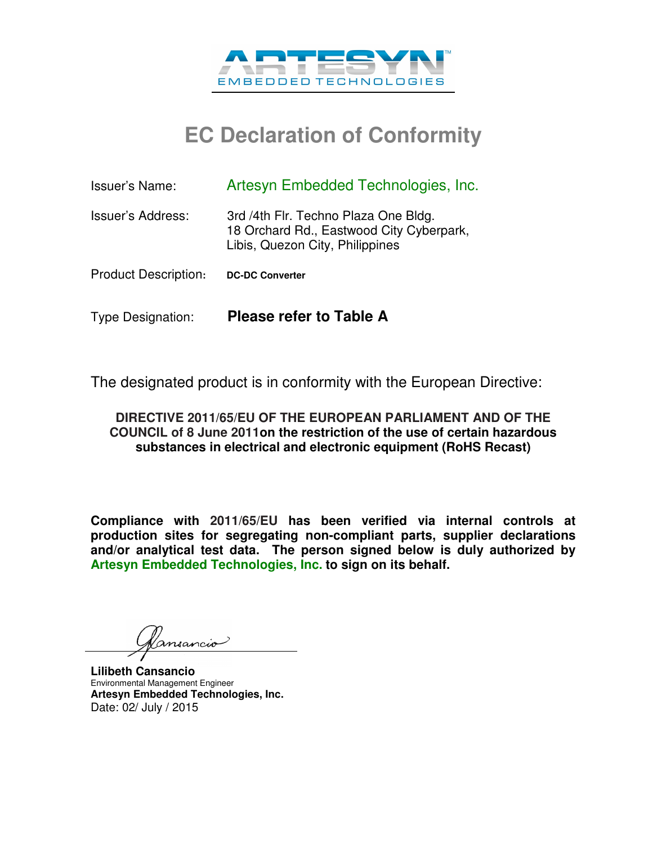

## **EC Declaration of Conformity**

| <b>Issuer's Name:</b>       | Artesyn Embedded Technologies, Inc.                                                                                 |
|-----------------------------|---------------------------------------------------------------------------------------------------------------------|
| Issuer's Address:           | 3rd /4th Flr. Techno Plaza One Bldg.<br>18 Orchard Rd., Eastwood City Cyberpark,<br>Libis, Quezon City, Philippines |
| <b>Product Description:</b> | <b>DC-DC Converter</b>                                                                                              |
| <b>Type Designation:</b>    | <b>Please refer to Table A</b>                                                                                      |

The designated product is in conformity with the European Directive:

## **DIRECTIVE 2011/65/EU OF THE EUROPEAN PARLIAMENT AND OF THE COUNCIL of 8 June 2011on the restriction of the use of certain hazardous substances in electrical and electronic equipment (RoHS Recast)**

**Compliance with 2011/65/EU has been verified via internal controls at production sites for segregating non-compliant parts, supplier declarations and/or analytical test data. The person signed below is duly authorized by Artesyn Embedded Technologies, Inc. to sign on its behalf.** 

rnsancio

**Lilibeth Cansancio**  Environmental Management Engineer **Artesyn Embedded Technologies, Inc.**  Date: 02/ July / 2015